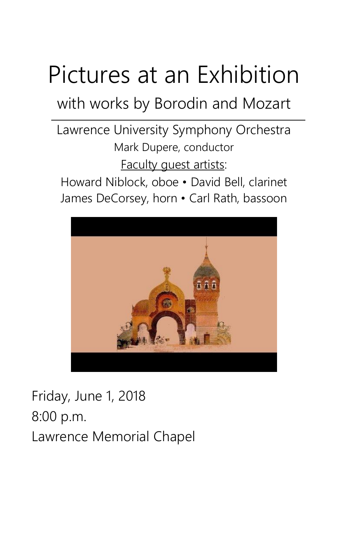# Pictures at an Exhibition

with works by Borodin and Mozart

Lawrence University Symphony Orchestra Mark Dupere, conductor Faculty guest artists:

Howard Niblock, oboe • David Bell, clarinet James DeCorsey, horn • Carl Rath, bassoon



Friday, June 1, 2018 8:00 p.m. Lawrence Memorial Chapel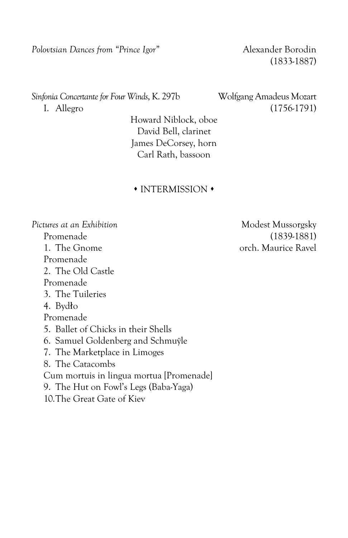*Polovtsian Dances from "Prince Igor"* Alexander Borodin

(1833-1887)

*Sinfonia Concertante for Four Winds*, K. 297b Wolfgang Amadeus Mozart I. Allegro (1756-1791)

Howard Niblock, oboe David Bell, clarinet James DeCorsey, horn Carl Rath, bassoon

#### $\cdot$  INTERMISSION  $\cdot$

Pictures at an Exhibition and an Exhibition and an exhibition and all modest Mussorgsky Promenade (1839-1881) 1. The Gnome orch. Maurice Ravel Promenade 2. The Old Castle Promenade 3. The Tuileries 4. Bydło Promenade 5. Ballet of Chicks in their Shells 6. Samuel Goldenberg and Schmuÿle 7. The Marketplace in Limoges 8. The Catacombs Cum mortuis in lingua mortua [Promenade] 9. The Hut on Fowl's Legs (Baba-Yaga) 10.The Great Gate of Kiev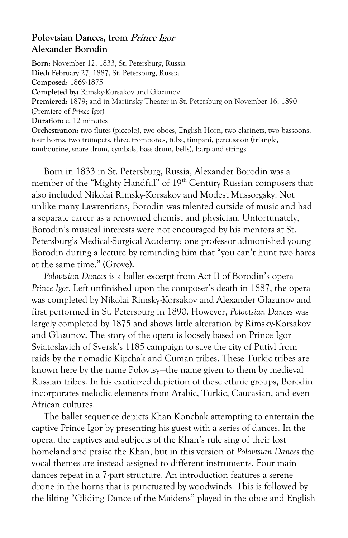#### **Polovtsian Dances, from Prince Igor Alexander Borodin**

**Born:** November 12, 1833, St. Petersburg, Russia **Died:** February 27, 1887, St. Petersburg, Russia **Composed:** 1869-1875 **Completed by:** Rimsky-Korsakov and Glazunov **Premiered:** 1879; and in Mariinsky Theater in St. Petersburg on November 16, 1890 (Premiere of *Prince Igor*) **Duration:** c. 12 minutes **Orchestration:** two flutes (piccolo), two oboes, English Horn, two clarinets, two bassoons, four horns, two trumpets, three trombones, tuba, timpani, percussion (triangle, tambourine, snare drum, cymbals, bass drum, bells), harp and strings

Born in 1833 in St. Petersburg, Russia, Alexander Borodin was a member of the "Mighty Handful" of 19<sup>th</sup> Century Russian composers that also included Nikolai Rimsky-Korsakov and Modest Mussorgsky. Not unlike many Lawrentians, Borodin was talented outside of music and had a separate career as a renowned chemist and physician. Unfortunately, Borodin's musical interests were not encouraged by his mentors at St. Petersburg's Medical-Surgical Academy; one professor admonished young Borodin during a lecture by reminding him that "you can't hunt two hares at the same time." (Grove).

*Polovtsian Dances* is a ballet excerpt from Act II of Borodin's opera *Prince Igor.* Left unfinished upon the composer's death in 1887, the opera was completed by Nikolai Rimsky-Korsakov and Alexander Glazunov and first performed in St. Petersburg in 1890. However, *Polovtsian Dances* was largely completed by 1875 and shows little alteration by Rimsky-Korsakov and Glazunov. The story of the opera is loosely based on Prince Igor Sviatoslavich of Sversk's 1185 campaign to save the city of Putivl from raids by the nomadic Kipchak and Cuman tribes. These Turkic tribes are known here by the name Polovtsy—the name given to them by medieval Russian tribes. In his exoticized depiction of these ethnic groups, Borodin incorporates melodic elements from Arabic, Turkic, Caucasian, and even African cultures.

The ballet sequence depicts Khan Konchak attempting to entertain the captive Prince Igor by presenting his guest with a series of dances. In the opera, the captives and subjects of the Khan's rule sing of their lost homeland and praise the Khan, but in this version of *Polovtsian Dances* the vocal themes are instead assigned to different instruments. Four main dances repeat in a 7-part structure. An introduction features a serene drone in the horns that is punctuated by woodwinds. This is followed by the lilting "Gliding Dance of the Maidens" played in the oboe and English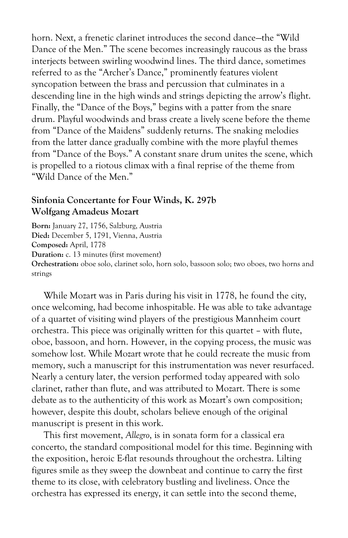horn. Next, a frenetic clarinet introduces the second dance—the "Wild Dance of the Men." The scene becomes increasingly raucous as the brass interjects between swirling woodwind lines. The third dance, sometimes referred to as the "Archer's Dance," prominently features violent syncopation between the brass and percussion that culminates in a descending line in the high winds and strings depicting the arrow's flight. Finally, the "Dance of the Boys," begins with a patter from the snare drum. Playful woodwinds and brass create a lively scene before the theme from "Dance of the Maidens" suddenly returns. The snaking melodies from the latter dance gradually combine with the more playful themes from "Dance of the Boys." A constant snare drum unites the scene, which is propelled to a riotous climax with a final reprise of the theme from "Wild Dance of the Men."

#### **Sinfonia Concertante for Four Winds, K. 297b Wolfgang Amadeus Mozart**

**Born:** January 27, 1756, Salzburg, Austria **Died:** December 5, 1791, Vienna, Austria **Composed:** April, 1778 **Duration:** c. 13 minutes (first movement) **Orchestration:** oboe solo, clarinet solo, horn solo, bassoon solo; two oboes, two horns and strings

While Mozart was in Paris during his visit in 1778, he found the city, once welcoming, had become inhospitable. He was able to take advantage of a quartet of visiting wind players of the prestigious Mannheim court orchestra. This piece was originally written for this quartet – with flute, oboe, bassoon, and horn. However, in the copying process, the music was somehow lost. While Mozart wrote that he could recreate the music from memory, such a manuscript for this instrumentation was never resurfaced. Nearly a century later, the version performed today appeared with solo clarinet, rather than flute, and was attributed to Mozart. There is some debate as to the authenticity of this work as Mozart's own composition; however, despite this doubt, scholars believe enough of the original manuscript is present in this work.

This first movement, *Allegro*, is in sonata form for a classical era concerto, the standard compositional model for this time. Beginning with the exposition, heroic E-flat resounds throughout the orchestra. Lilting figures smile as they sweep the downbeat and continue to carry the first theme to its close, with celebratory bustling and liveliness. Once the orchestra has expressed its energy, it can settle into the second theme,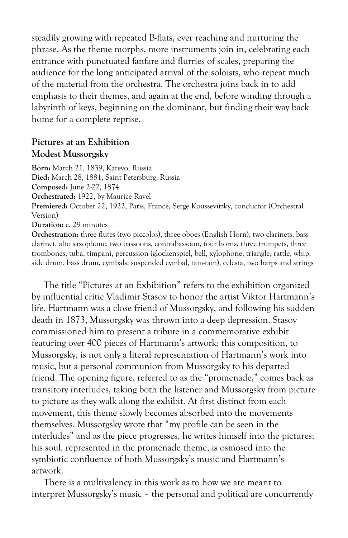steadily growing with repeated B-flats, ever reaching and nurturing the phrase. As the theme morphs, more instruments join in, celebrating each entrance with punctuated fanfare and flurries of scales, preparing the audience for the long anticipated arrival of the soloists, who repeat much of the material from the orchestra. The orchestra joins back in to add emphasis to their themes, and again at the end, before winding through a labyrinth of keys, beginning on the dominant, but finding their way back home for a complete reprise.

#### **Pictures at an Exhibition Modest Mussorgsky**

**Born:** March 21, 1839, Karevo, Russia **Died:** March 28, 1881, Saint Petersburg, Russia **Composed:** June 2-22, 1874 **Orchestrated:** 1922, by Maurice Ravel **Premiered:** October 22, 1922, Paris, France, Serge Koussevitzky, conductor (Orchestral Version) **Duration:** c. 29 minutes **Orchestration:** three flutes (two piccolos), three oboes (English Horn), two clarinets, bass

clarinet, alto saxophone, two bassoons, contrabassoon, four horns, three trumpets, three trombones, tuba, timpani, percussion (glockenspiel, bell, xylophone, triangle, rattle, whip, side drum, bass drum, cymbals, suspended cymbal, tam-tam), celesta, two harps and strings

The title "Pictures at an Exhibition" refers to the exhibition organized by influential critic Vladimir Stasov to honor the artist Viktor Hartmann's life. Hartmann was a close friend of Mussorgsky, and following his sudden death in 1873, Mussorgsky was thrown into a deep depression. Stasov commissioned him to present a tribute in a commemorative exhibit featuring over 400 pieces of Hartmann's artwork; this composition, to Mussorgsky, is not only a literal representation of Hartmann's work into music, but a personal communion from Mussorgsky to his departed friend. The opening figure, referred to as the "promenade," comes back as transitory interludes, taking both the listener and Mussorgsky from picture to picture as they walk along the exhibit. At first distinct from each movement, this theme slowly becomes absorbed into the movements themselves. Mussorgsky wrote that "my profile can be seen in the interludes" and as the piece progresses, he writes himself into the pictures; his soul, represented in the promenade theme, is osmosed into the symbiotic confluence of both Mussorgsky's music and Hartmann's artwork.

There is a multivalency in this work as to how we are meant to interpret Mussorgsky's music – the personal and political are concurrently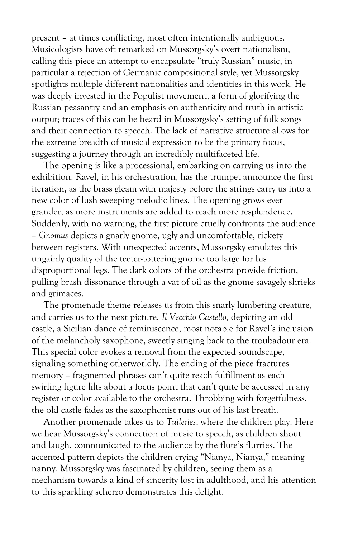present – at times conflicting, most often intentionally ambiguous. Musicologists have oft remarked on Mussorgsky's overt nationalism, calling this piece an attempt to encapsulate "truly Russian" music, in particular a rejection of Germanic compositional style, yet Mussorgsky spotlights multiple different nationalities and identities in this work. He was deeply invested in the Populist movement, a form of glorifying the Russian peasantry and an emphasis on authenticity and truth in artistic output; traces of this can be heard in Mussorgsky's setting of folk songs and their connection to speech. The lack of narrative structure allows for the extreme breadth of musical expression to be the primary focus, suggesting a journey through an incredibly multifaceted life.

The opening is like a processional, embarking on carrying us into the exhibition. Ravel, in his orchestration, has the trumpet announce the first iteration, as the brass gleam with majesty before the strings carry us into a new color of lush sweeping melodic lines. The opening grows ever grander, as more instruments are added to reach more resplendence. Suddenly, with no warning, the first picture cruelly confronts the audience – *Gnomus* depicts a gnarly gnome, ugly and uncomfortable, rickety between registers. With unexpected accents, Mussorgsky emulates this ungainly quality of the teeter-tottering gnome too large for his disproportional legs. The dark colors of the orchestra provide friction, pulling brash dissonance through a vat of oil as the gnome savagely shrieks and grimaces.

The promenade theme releases us from this snarly lumbering creature, and carries us to the next picture, *Il Vecchio Castello,* depicting an old castle, a Sicilian dance of reminiscence, most notable for Ravel's inclusion of the melancholy saxophone, sweetly singing back to the troubadour era. This special color evokes a removal from the expected soundscape, signaling something otherworldly. The ending of the piece fractures memory – fragmented phrases can't quite reach fulfillment as each swirling figure lilts about a focus point that can't quite be accessed in any register or color available to the orchestra. Throbbing with forgetfulness, the old castle fades as the saxophonist runs out of his last breath.

Another promenade takes us to *Tuileries*, where the children play. Here we hear Mussorgsky's connection of music to speech, as children shout and laugh, communicated to the audience by the flute's flurries. The accented pattern depicts the children crying "Nianya, Nianya," meaning nanny. Mussorgsky was fascinated by children, seeing them as a mechanism towards a kind of sincerity lost in adulthood, and his attention to this sparkling scherzo demonstrates this delight.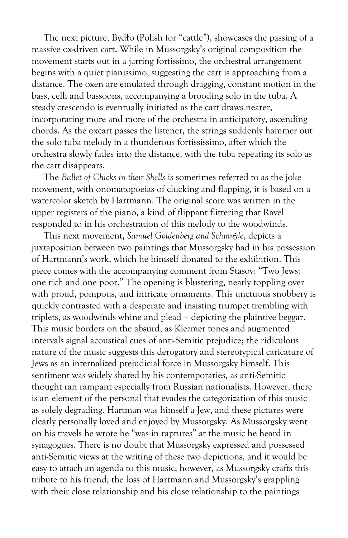The next picture, Bydło (Polish for "cattle"), showcases the passing of a massive ox-driven cart. While in Mussorgsky's original composition the movement starts out in a jarring fortissimo, the orchestral arrangement begins with a quiet pianissimo, suggesting the cart is approaching from a distance. The oxen are emulated through dragging, constant motion in the bass, celli and bassoons, accompanying a brooding solo in the tuba. A steady crescendo is eventually initiated as the cart draws nearer, incorporating more and more of the orchestra in anticipatory, ascending chords. As the oxcart passes the listener, the strings suddenly hammer out the solo tuba melody in a thunderous fortississimo, after which the orchestra slowly fades into the distance, with the tuba repeating its solo as the cart disappears.

The *Ballet of Chicks in their Shells* is sometimes referred to as the joke movement, with onomatopoeias of clucking and flapping, it is based on a watercolor sketch by Hartmann. The original score was written in the upper registers of the piano, a kind of flippant flittering that Ravel responded to in his orchestration of this melody to the woodwinds.

This next movement, *Samuel Goldenberg and Schmuÿle*, depicts a juxtaposition between two paintings that Mussorgsky had in his possession of Hartmann's work, which he himself donated to the exhibition. This piece comes with the accompanying comment from Stasov: "Two Jews: one rich and one poor." The opening is blustering, nearly toppling over with proud, pompous, and intricate ornaments. This unctuous snobbery is quickly contrasted with a desperate and insisting trumpet trembling with triplets, as woodwinds whine and plead – depicting the plaintive beggar. This music borders on the absurd, as Klezmer tones and augmented intervals signal acoustical cues of anti-Semitic prejudice; the ridiculous nature of the music suggests this derogatory and stereotypical caricature of Jews as an internalized prejudicial force in Mussorgsky himself. This sentiment was widely shared by his contemporaries, as anti-Semitic thought ran rampant especially from Russian nationalists. However, there is an element of the personal that evades the categorization of this music as solely degrading. Hartman was himself a Jew, and these pictures were clearly personally loved and enjoyed by Mussorgsky. As Mussorgsky went on his travels he wrote he "was in raptures" at the music he heard in synagogues. There is no doubt that Mussorgsky expressed and possessed anti-Semitic views at the writing of these two depictions, and it would be easy to attach an agenda to this music; however, as Mussorgsky crafts this tribute to his friend, the loss of Hartmann and Mussorgsky's grappling with their close relationship and his close relationship to the paintings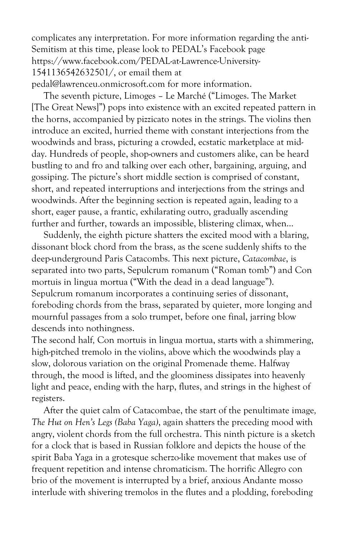complicates any interpretation. For more information regarding the anti-Semitism at this time, please look to PEDAL's Facebook page https://www.facebook.com/PEDAL-at-Lawrence-University-1541136542632501/, or email them at pedal@lawrenceu.onmicrosoft.com for more information.

The seventh picture, Limoges – Le Marché ("Limoges. The Market [The Great News]") pops into existence with an excited repeated pattern in the horns, accompanied by pizzicato notes in the strings. The violins then introduce an excited, hurried theme with constant interjections from the woodwinds and brass, picturing a crowded, ecstatic marketplace at midday. Hundreds of people, shop-owners and customers alike, can be heard bustling to and fro and talking over each other, bargaining, arguing, and gossiping. The picture's short middle section is comprised of constant, short, and repeated interruptions and interjections from the strings and woodwinds. After the beginning section is repeated again, leading to a short, eager pause, a frantic, exhilarating outro, gradually ascending further and further, towards an impossible, blistering climax, when…

Suddenly, the eighth picture shatters the excited mood with a blaring, dissonant block chord from the brass, as the scene suddenly shifts to the deep-underground Paris Catacombs. This next picture, *Catacombae*, is separated into two parts, Sepulcrum romanum ("Roman tomb") and Con mortuis in lingua mortua ("With the dead in a dead language"). Sepulcrum romanum incorporates a continuing series of dissonant, foreboding chords from the brass, separated by quieter, more longing and mournful passages from a solo trumpet, before one final, jarring blow descends into nothingness.

The second half*,* Con mortuis in lingua mortua, starts with a shimmering, high-pitched tremolo in the violins, above which the woodwinds play a slow, dolorous variation on the original Promenade theme. Halfway through, the mood is lifted, and the gloominess dissipates into heavenly light and peace, ending with the harp, flutes, and strings in the highest of registers.

After the quiet calm of Catacombae, the start of the penultimate image*, The Hut on Hen's Legs (Baba Yaga)*, again shatters the preceding mood with angry, violent chords from the full orchestra. This ninth picture is a sketch for a clock that is based in Russian folklore and depicts the house of the spirit Baba Yaga in a grotesque scherzo-like movement that makes use of frequent repetition and intense chromaticism. The horrific Allegro con brio of the movement is interrupted by a brief, anxious Andante mosso interlude with shivering tremolos in the flutes and a plodding, foreboding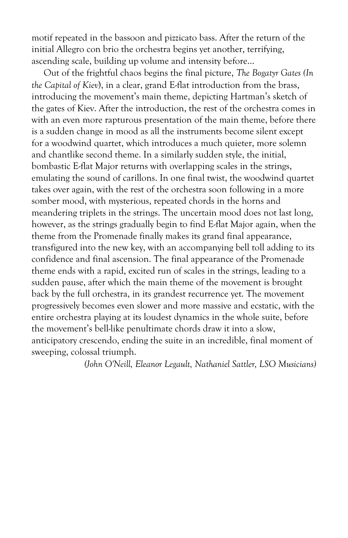motif repeated in the bassoon and pizzicato bass. After the return of the initial Allegro con brio the orchestra begins yet another, terrifying, ascending scale, building up volume and intensity before…

Out of the frightful chaos begins the final picture, *The Bogatyr Gates (In the Capital of Kiev*), in a clear, grand E-flat introduction from the brass, introducing the movement's main theme, depicting Hartman's sketch of the gates of Kiev. After the introduction, the rest of the orchestra comes in with an even more rapturous presentation of the main theme, before there is a sudden change in mood as all the instruments become silent except for a woodwind quartet, which introduces a much quieter, more solemn and chantlike second theme. In a similarly sudden style, the initial, bombastic E-flat Major returns with overlapping scales in the strings, emulating the sound of carillons. In one final twist, the woodwind quartet takes over again, with the rest of the orchestra soon following in a more somber mood, with mysterious, repeated chords in the horns and meandering triplets in the strings. The uncertain mood does not last long, however, as the strings gradually begin to find E-flat Major again, when the theme from the Promenade finally makes its grand final appearance, transfigured into the new key, with an accompanying bell toll adding to its confidence and final ascension. The final appearance of the Promenade theme ends with a rapid, excited run of scales in the strings, leading to a sudden pause, after which the main theme of the movement is brought back by the full orchestra, in its grandest recurrence yet. The movement progressively becomes even slower and more massive and ecstatic, with the entire orchestra playing at its loudest dynamics in the whole suite, before the movement's bell-like penultimate chords draw it into a slow, anticipatory crescendo, ending the suite in an incredible, final moment of sweeping, colossal triumph.

*(John O'Neill, Eleanor Legault, Nathaniel Sattler, LSO Musicians)*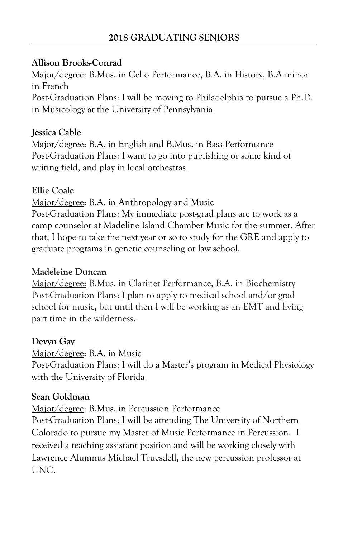#### **Allison Brooks-Conrad**

Major/degree: B.Mus. in Cello Performance, B.A. in History, B.A minor in French Post-Graduation Plans: I will be moving to Philadelphia to pursue a Ph.D. in Musicology at the University of Pennsylvania.

## **Jessica Cable**

Major/degree: B.A. in English and B.Mus. in Bass Performance Post-Graduation Plans: I want to go into publishing or some kind of writing field, and play in local orchestras.

#### **Ellie Coale**

Major/degree: B.A. in Anthropology and Music

Post-Graduation Plans: My immediate post-grad plans are to work as a camp counselor at Madeline Island Chamber Music for the summer. After that, I hope to take the next year or so to study for the GRE and apply to graduate programs in genetic counseling or law school.

#### **Madeleine Duncan**

Major/degree: B.Mus. in Clarinet Performance, B.A. in Biochemistry Post-Graduation Plans: I plan to apply to medical school and/or grad school for music, but until then I will be working as an EMT and living part time in the wilderness.

#### **Devyn Gay**

Major/degree: B.A. in Music

Post-Graduation Plans: I will do a Master's program in Medical Physiology with the University of Florida.

#### **Sean Goldman**

Major/degree: B.Mus. in Percussion Performance

Post-Graduation Plans: I will be attending The University of Northern Colorado to pursue my Master of Music Performance in Percussion. I received a teaching assistant position and will be working closely with Lawrence Alumnus Michael Truesdell, the new percussion professor at UNC.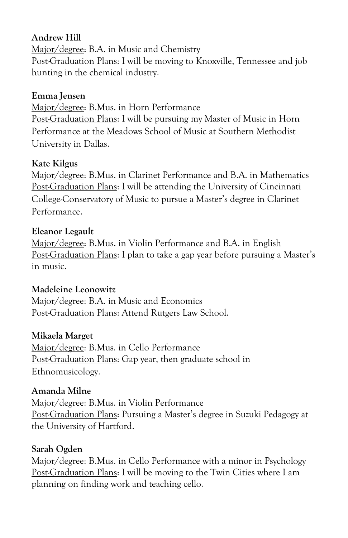# **Andrew Hill**

Major/degree: B.A. in Music and Chemistry Post-Graduation Plans: I will be moving to Knoxville, Tennessee and job hunting in the chemical industry.

#### **Emma Jensen**

Major/degree: B.Mus. in Horn Performance Post-Graduation Plans: I will be pursuing my Master of Music in Horn Performance at the Meadows School of Music at Southern Methodist University in Dallas.

#### **Kate Kilgus**

Major/degree: B.Mus. in Clarinet Performance and B.A. in Mathematics Post-Graduation Plans: I will be attending the University of Cincinnati College-Conservatory of Music to pursue a Master's degree in Clarinet Performance.

# **Eleanor Legault**

Major/degree: B.Mus. in Violin Performance and B.A. in English Post-Graduation Plans: I plan to take a gap year before pursuing a Master's in music.

# **Madeleine Leonowitz**

Major/degree: B.A. in Music and Economics Post-Graduation Plans: Attend Rutgers Law School.

# **Mikaela Marget**

Major/degree: B.Mus. in Cello Performance Post-Graduation Plans: Gap year, then graduate school in Ethnomusicology.

# **Amanda Milne**

Major/degree: B.Mus. in Violin Performance Post-Graduation Plans: Pursuing a Master's degree in Suzuki Pedagogy at the University of Hartford.

# **Sarah Ogden**

Major/degree: B.Mus. in Cello Performance with a minor in Psychology Post-Graduation Plans: I will be moving to the Twin Cities where I am planning on finding work and teaching cello.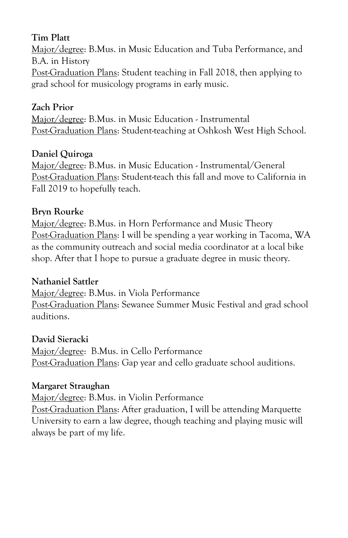# **Tim Platt**

Major/degree: B.Mus. in Music Education and Tuba Performance, and B.A. in History Post-Graduation Plans: Student teaching in Fall 2018, then applying to grad school for musicology programs in early music.

# **Zach Prior**

Major/degree: B.Mus. in Music Education - Instrumental Post-Graduation Plans: Student-teaching at Oshkosh West High School.

# **Daniel Quiroga**

Major/degree: B.Mus. in Music Education - Instrumental/General Post-Graduation Plans: Student-teach this fall and move to California in Fall 2019 to hopefully teach.

#### **Bryn Rourke**

Major/degree: B.Mus. in Horn Performance and Music Theory Post-Graduation Plans: I will be spending a year working in Tacoma, WA as the community outreach and social media coordinator at a local bike shop. After that I hope to pursue a graduate degree in music theory.

#### **Nathaniel Sattler**

Major/degree: B.Mus. in Viola Performance Post-Graduation Plans: Sewanee Summer Music Festival and grad school auditions.

# **David Sieracki**

Major/degree: B.Mus. in Cello Performance Post-Graduation Plans: Gap year and cello graduate school auditions.

# **Margaret Straughan**

Major/degree: B.Mus. in Violin Performance

Post-Graduation Plans: After graduation, I will be attending Marquette University to earn a law degree, though teaching and playing music will always be part of my life.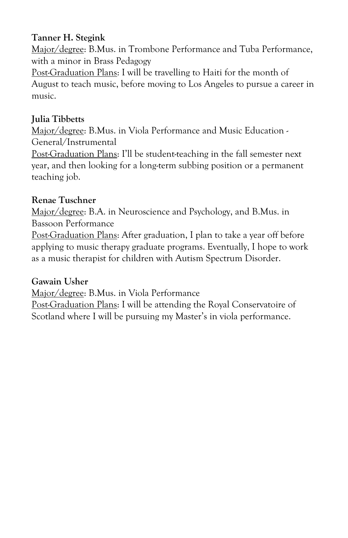## **Tanner H. Stegink**

Major/degree: B.Mus. in Trombone Performance and Tuba Performance, with a minor in Brass Pedagogy

Post-Graduation Plans: I will be travelling to Haiti for the month of August to teach music, before moving to Los Angeles to pursue a career in music.

# **Julia Tibbetts**

Major/degree: B.Mus. in Viola Performance and Music Education -General/Instrumental

Post-Graduation Plans: I'll be student-teaching in the fall semester next year, and then looking for a long-term subbing position or a permanent teaching job.

# **Renae Tuschner**

Major/degree: B.A. in Neuroscience and Psychology, and B.Mus. in Bassoon Performance

Post-Graduation Plans: After graduation, I plan to take a year off before applying to music therapy graduate programs. Eventually, I hope to work as a music therapist for children with Autism Spectrum Disorder.

# **Gawain Usher**

Major/degree: B.Mus. in Viola Performance

Post-Graduation Plans: I will be attending the Royal Conservatoire of Scotland where I will be pursuing my Master's in viola performance.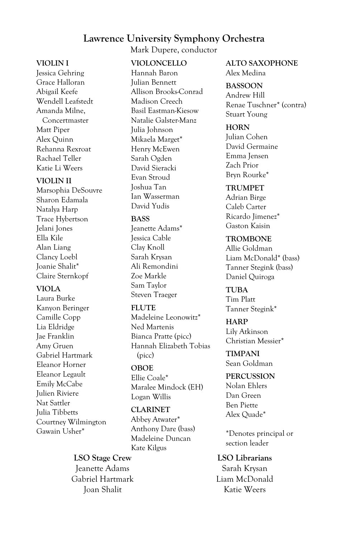#### **Lawrence University Symphony Orchestra**

Mark Dupere, conductor

#### **VIOLIN I**

Jessica Gehring Grace Halloran Abigail Keefe Wendell Leafstedt Amanda Milne, Concertmaster Matt Piper Alex Quinn Rehanna Rexroat Rachael Teller Katie Li Weers

#### **VIOLIN II**

Marsophia DeSouvre Sharon Edamala Natalya Harp Trace Hybertson Jelani Jones Ella Kile Alan Liang Clancy Loebl Joanie Shalit\* Claire Sternkopf

#### **VIOLA**

Laura Burke Kanyon Beringer Camille Copp Lia Eldridge Jae Franklin Amy Gruen Gabriel Hartmark Eleanor Horner Eleanor Legault Emily McCabe Julien Riviere Nat Sattler Julia Tibbetts Courtney Wilmington Gawain Usher\*

#### **VIOLONCELLO**

Hannah Baron Julian Bennett Allison Brooks-Conrad Madison Creech Basil Eastman-Kiesow Natalie Galster-Manz Julia Johnson Mikaela Marget\* Henry McEwen Sarah Ogden David Sieracki Evan Stroud Joshua Tan Ian Wasserman David Yudis

#### **BASS**

Jeanette Adams\* Jessica Cable Clay Knoll Sarah Krysan Ali Remondini Zoe Markle Sam Taylor Steven Traeger

#### **FLUTE**

Madeleine Leonowitz\* Ned Martenis Bianca Pratte (picc) Hannah Elizabeth Tobias (picc)

#### **OBOE**

Ellie Coale\* Maralee Mindock (EH) Logan Willis

#### **CLARINET**

Abbey Atwater\* Anthony Dare (bass) Madeleine Duncan Kate Kilgus

**LSO Stage Crew** Jeanette Adams Gabriel Hartmark Joan Shalit

**ALTO SAXOPHONE** Alex Medina

#### **BASSOON**

Andrew Hill Renae Tuschner\* (contra) Stuart Young

#### **HORN**

Julian Cohen David Germaine Emma Jensen Zach Prior Bryn Rourke\*

#### **TRUMPET**

Adrian Birge Caleb Carter Ricardo Jimenez\* Gaston Kaisin

#### **TROMBONE**

Allie Goldman Liam McDonald\* (bass) Tanner Stegink (bass) Daniel Quiroga

**TUBA** Tim Platt Tanner Stegink\*

**HARP** Lily Atkinson Christian Messier\*

**TIMPANI** Sean Goldman

**PERCUSSION** Nolan Ehlers Dan Green Ben Piette Alex Quade\*

\*Denotes principal or section leader

#### **LSO Librarians**

Sarah Krysan Liam McDonald Katie Weers